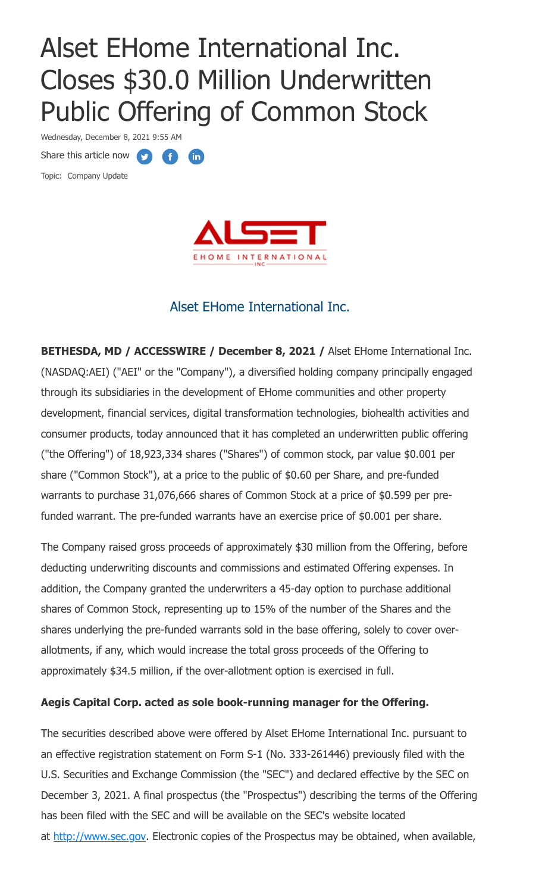# Alset EHome International Inc. Closes \$30.0 Million Underwritten Public Offering of Common Stock

Wednesday, December 8, 2021 9:55 AM

Share this article now **the final share that are the state** 

Topic: Company Update



# Alset EHome International Inc.

**BETHESDA, MD / ACCESSWIRE / December 8, 2021 /** Alset EHome International Inc. (NASDAQ:AEI) ("AEI" or the "Company"), a diversified holding company principally engaged through its subsidiaries in the development of EHome communities and other property development, financial services, digital transformation technologies, biohealth activities and consumer products, today announced that it has completed an underwritten public offering ("the Offering") of 18,923,334 shares ("Shares") of common stock, par value \$0.001 per share ("Common Stock"), at a price to the public of \$0.60 per Share, and pre-funded warrants to purchase 31,076,666 shares of Common Stock at a price of \$0.599 per prefunded warrant. The pre-funded warrants have an exercise price of \$0.001 per share.

The Company raised gross proceeds of approximately \$30 million from the Offering, before deducting underwriting discounts and commissions and estimated Offering expenses. In addition, the Company granted the underwriters a 45-day option to purchase additional shares of Common Stock, representing up to 15% of the number of the Shares and the shares underlying the pre-funded warrants sold in the base offering, solely to cover overallotments, if any, which would increase the total gross proceeds of the Offering to approximately \$34.5 million, if the over-allotment option is exercised in full.

## **Aegis Capital Corp. acted as sole book-running manager for the Offering.**

The securities described above were offered by Alset EHome International Inc. pursuant to an effective registration statement on Form S-1 (No. 333-261446) previously filed with the U.S. Securities and Exchange Commission (the "SEC") and declared effective by the SEC on December 3, 2021. A final prospectus (the "Prospectus") describing the terms of the Offering has been filed with the SEC and will be available on the SEC's website located at [http://www.sec.gov.](https://pr.report/LwKSOGfm) Electronic copies of the Prospectus may be obtained, when available,